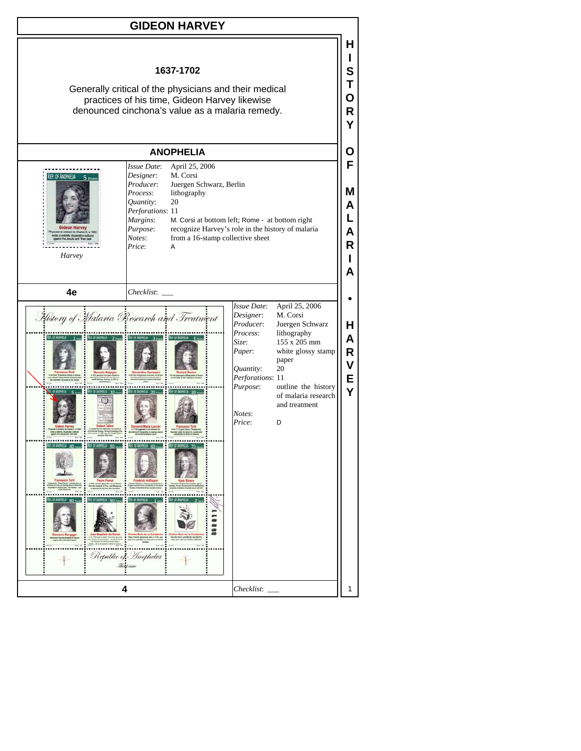